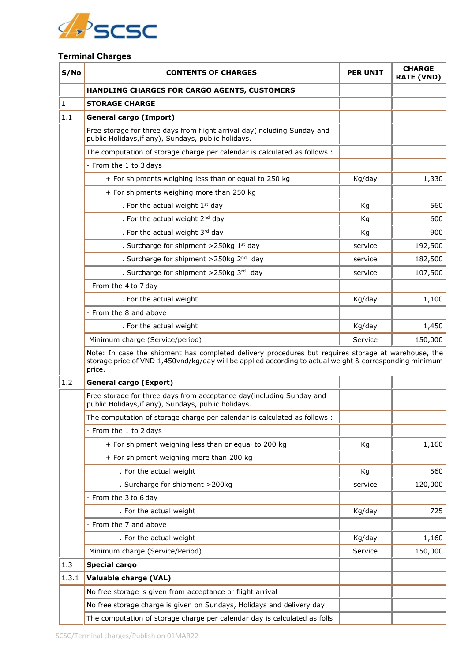

## **Terminal Charges**

| S/No         | <b>CONTENTS OF CHARGES</b>                                                                                                                                                                                               | <b>PER UNIT</b> | <b>CHARGE</b><br><b>RATE (VND)</b> |
|--------------|--------------------------------------------------------------------------------------------------------------------------------------------------------------------------------------------------------------------------|-----------------|------------------------------------|
|              | HANDLING CHARGES FOR CARGO AGENTS, CUSTOMERS                                                                                                                                                                             |                 |                                    |
| $\mathbf{1}$ | <b>STORAGE CHARGE</b>                                                                                                                                                                                                    |                 |                                    |
| 1.1          | <b>General cargo (Import)</b>                                                                                                                                                                                            |                 |                                    |
|              | Free storage for three days from flight arrival day(including Sunday and<br>public Holidays, if any), Sundays, public holidays.                                                                                          |                 |                                    |
|              | The computation of storage charge per calendar is calculated as follows :                                                                                                                                                |                 |                                    |
|              | - From the 1 to 3 days                                                                                                                                                                                                   |                 |                                    |
|              | + For shipments weighing less than or equal to 250 kg                                                                                                                                                                    | Kg/day          | 1,330                              |
|              | + For shipments weighing more than 250 kg                                                                                                                                                                                |                 |                                    |
|              | . For the actual weight $1st$ day                                                                                                                                                                                        | Kg              | 560                                |
|              | . For the actual weight 2 <sup>nd</sup> day                                                                                                                                                                              | Кg              | 600                                |
|              | . For the actual weight 3rd day                                                                                                                                                                                          | Kg              | 900                                |
|              | . Surcharge for shipment $>$ 250kg 1 <sup>st</sup> day                                                                                                                                                                   | service         | 192,500                            |
|              | . Surcharge for shipment >250kg 2 <sup>nd</sup> day                                                                                                                                                                      | service         | 182,500                            |
|              | . Surcharge for shipment >250kg 3rd day                                                                                                                                                                                  | service         | 107,500                            |
|              | - From the 4 to 7 day                                                                                                                                                                                                    |                 |                                    |
|              | . For the actual weight                                                                                                                                                                                                  | Kg/day          | 1,100                              |
|              | - From the 8 and above                                                                                                                                                                                                   |                 |                                    |
|              | . For the actual weight                                                                                                                                                                                                  | Kg/day          | 1,450                              |
|              | Minimum charge (Service/period)                                                                                                                                                                                          | Service         | 150,000                            |
|              | Note: In case the shipment has completed delivery procedures but requires storage at warehouse, the<br>storage price of VND 1,450vnd/kg/day will be applied according to actual weight & corresponding minimum<br>price. |                 |                                    |
| 1.2          | <b>General cargo (Export)</b>                                                                                                                                                                                            |                 |                                    |
|              | Free storage for three days from acceptance day(including Sunday and<br>public Holidays, if any), Sundays, public holidays.                                                                                              |                 |                                    |
|              | The computation of storage charge per calendar is calculated as follows :                                                                                                                                                |                 |                                    |
|              | - From the 1 to 2 days                                                                                                                                                                                                   |                 |                                    |
|              | + For shipment weighing less than or equal to 200 kg                                                                                                                                                                     | Kg              | 1,160                              |
|              | + For shipment weighing more than 200 kg                                                                                                                                                                                 |                 |                                    |
|              | . For the actual weight                                                                                                                                                                                                  | Kg              | 560                                |
|              | . Surcharge for shipment >200kg                                                                                                                                                                                          | service         | 120,000                            |
|              | - From the 3 to 6 day                                                                                                                                                                                                    |                 |                                    |
|              | . For the actual weight                                                                                                                                                                                                  | Kg/day          | 725                                |
|              | - From the 7 and above                                                                                                                                                                                                   |                 |                                    |
|              | . For the actual weight                                                                                                                                                                                                  | Kg/day          | 1,160                              |
|              | Minimum charge (Service/Period)                                                                                                                                                                                          | Service         | 150,000                            |
| 1.3          | <b>Special cargo</b>                                                                                                                                                                                                     |                 |                                    |
| 1.3.1        | Valuable charge (VAL)                                                                                                                                                                                                    |                 |                                    |
|              | No free storage is given from acceptance or flight arrival                                                                                                                                                               |                 |                                    |
|              | No free storage charge is given on Sundays, Holidays and delivery day                                                                                                                                                    |                 |                                    |
|              | The computation of storage charge per calendar day is calculated as folls                                                                                                                                                |                 |                                    |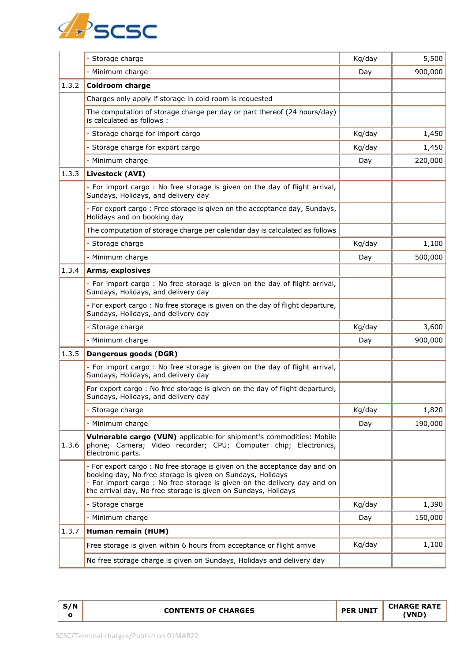

|       | - Storage charge                                                                                                                                                                                                                                                                     | Kg/day | 5,500   |
|-------|--------------------------------------------------------------------------------------------------------------------------------------------------------------------------------------------------------------------------------------------------------------------------------------|--------|---------|
|       | - Minimum charge                                                                                                                                                                                                                                                                     | Day    | 900,000 |
| 1.3.2 | <b>Coldroom charge</b>                                                                                                                                                                                                                                                               |        |         |
|       | Charges only apply if storage in cold room is requested                                                                                                                                                                                                                              |        |         |
|       | The computation of storage charge per day or part thereof (24 hours/day)<br>is calculated as follows:                                                                                                                                                                                |        |         |
|       | - Storage charge for import cargo                                                                                                                                                                                                                                                    | Kg/day | 1,450   |
|       | - Storage charge for export cargo                                                                                                                                                                                                                                                    | Kg/day | 1,450   |
|       | - Minimum charge                                                                                                                                                                                                                                                                     | Day    | 220,000 |
| 1.3.3 | Livestock (AVI)                                                                                                                                                                                                                                                                      |        |         |
|       | - For import cargo: No free storage is given on the day of flight arrival,<br>Sundays, Holidays, and delivery day                                                                                                                                                                    |        |         |
|       | - For export cargo: Free storage is given on the acceptance day, Sundays,<br>Holidays and on booking day                                                                                                                                                                             |        |         |
|       | The computation of storage charge per calendar day is calculated as follows                                                                                                                                                                                                          |        |         |
|       | - Storage charge                                                                                                                                                                                                                                                                     | Kg/day | 1,100   |
|       | - Minimum charge                                                                                                                                                                                                                                                                     | Day    | 500,000 |
| 1.3.4 | Arms, explosives                                                                                                                                                                                                                                                                     |        |         |
|       | - For import cargo: No free storage is given on the day of flight arrival,<br>Sundays, Holidays, and delivery day                                                                                                                                                                    |        |         |
|       | - For export cargo: No free storage is given on the day of flight departure,<br>Sundays, Holidays, and delivery day                                                                                                                                                                  |        |         |
|       | - Storage charge                                                                                                                                                                                                                                                                     | Kg/day | 3,600   |
|       | - Minimum charge                                                                                                                                                                                                                                                                     | Day    | 900,000 |
| 1.3.5 | Dangerous goods (DGR)                                                                                                                                                                                                                                                                |        |         |
|       | - For import cargo: No free storage is given on the day of flight arrival,<br>Sundays, Holidays, and delivery day                                                                                                                                                                    |        |         |
|       | For export cargo: No free storage is given on the day of flight departurel,<br>Sundays, Holidays, and delivery day                                                                                                                                                                   |        |         |
|       | - Storage charge                                                                                                                                                                                                                                                                     | Kg/day | 1,820   |
|       | - Minimum charge                                                                                                                                                                                                                                                                     | Day    | 190,000 |
| 1.3.6 | Vulnerable cargo (VUN) applicable for shipment's commodities: Mobile<br>phone; Camera; Video recorder; CPU; Computer chip; Electronics,<br>Electronic parts.                                                                                                                         |        |         |
|       | - For export cargo: No free storage is given on the acceptance day and on<br>booking day, No free storage is given on Sundays, Holidays<br>- For import cargo: No free storage is given on the delivery day and on<br>the arrival day, No free storage is given on Sundays, Holidays |        |         |
|       | - Storage charge                                                                                                                                                                                                                                                                     | Kg/day | 1,390   |
|       | - Minimum charge                                                                                                                                                                                                                                                                     | Day    | 150,000 |
| 1.3.7 | Human remain (HUM)                                                                                                                                                                                                                                                                   |        |         |
|       | Free storage is given within 6 hours from acceptance or flight arrive                                                                                                                                                                                                                | Kg/day | 1,100   |
|       | No free storage charge is given on Sundays, Holidays and delivery day                                                                                                                                                                                                                |        |         |

|--|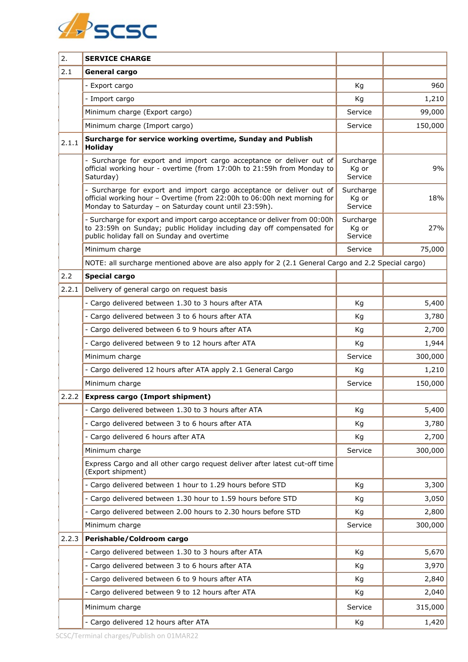

| 2.    | <b>SERVICE CHARGE</b>                                                                                                                                                                                     |                               |         |
|-------|-----------------------------------------------------------------------------------------------------------------------------------------------------------------------------------------------------------|-------------------------------|---------|
| 2.1   | General cargo                                                                                                                                                                                             |                               |         |
|       | - Export cargo                                                                                                                                                                                            | Kg                            | 960     |
|       | - Import cargo                                                                                                                                                                                            | Kg                            | 1,210   |
|       | Minimum charge (Export cargo)                                                                                                                                                                             | Service                       | 99,000  |
|       | Minimum charge (Import cargo)                                                                                                                                                                             | Service                       | 150,000 |
| 2.1.1 | Surcharge for service working overtime, Sunday and Publish<br><b>Holiday</b>                                                                                                                              |                               |         |
|       | - Surcharge for export and import cargo acceptance or deliver out of<br>official working hour - overtime (from 17:00h to 21:59h from Monday to<br>Saturday)                                               | Surcharge<br>Kg or<br>Service | 9%      |
|       | - Surcharge for export and import cargo acceptance or deliver out of<br>official working hour - Overtime (from 22:00h to 06:00h next morning for<br>Monday to Saturday - on Saturday count until 23:59h). | Surcharge<br>Kg or<br>Service | 18%     |
|       | - Surcharge for export and import cargo acceptance or deliver from 00:00h<br>to 23:59h on Sunday; public Holiday including day off compensated for<br>public holiday fall on Sunday and overtime          | Surcharge<br>Kg or<br>Service | 27%     |
|       | Minimum charge                                                                                                                                                                                            | Service                       | 75,000  |
|       | NOTE: all surcharge mentioned above are also apply for 2 (2.1 General Cargo and 2.2 Special cargo)                                                                                                        |                               |         |
| 2.2   | <b>Special cargo</b>                                                                                                                                                                                      |                               |         |
| 2.2.1 | Delivery of general cargo on request basis                                                                                                                                                                |                               |         |
|       | - Cargo delivered between 1.30 to 3 hours after ATA                                                                                                                                                       | Kg                            | 5,400   |
|       | - Cargo delivered between 3 to 6 hours after ATA                                                                                                                                                          | Kg                            | 3,780   |
|       | - Cargo delivered between 6 to 9 hours after ATA                                                                                                                                                          | Kg                            | 2,700   |
|       | - Cargo delivered between 9 to 12 hours after ATA                                                                                                                                                         | Kg                            | 1,944   |
|       | Minimum charge                                                                                                                                                                                            | Service                       | 300,000 |
|       | - Cargo delivered 12 hours after ATA apply 2.1 General Cargo                                                                                                                                              | Кg                            | 1,210   |
|       | Minimum charge                                                                                                                                                                                            | Service                       | 150,000 |
| 2.2.2 | <b>Express cargo (Import shipment)</b>                                                                                                                                                                    |                               |         |
|       | - Cargo delivered between 1.30 to 3 hours after ATA                                                                                                                                                       | Kg                            | 5,400   |
|       | - Cargo delivered between 3 to 6 hours after ATA                                                                                                                                                          | Kg                            | 3,780   |
|       | - Cargo delivered 6 hours after ATA                                                                                                                                                                       | Kg                            | 2,700   |
|       | Minimum charge                                                                                                                                                                                            | Service                       | 300,000 |
|       | Express Cargo and all other cargo request deliver after latest cut-off time<br>(Export shipment)                                                                                                          |                               |         |
|       | - Cargo delivered between 1 hour to 1.29 hours before STD                                                                                                                                                 | Kg                            | 3,300   |
|       | - Cargo delivered between 1.30 hour to 1.59 hours before STD                                                                                                                                              | Kg                            | 3,050   |
|       | - Cargo delivered between 2.00 hours to 2.30 hours before STD                                                                                                                                             | Kg                            | 2,800   |
|       | Minimum charge                                                                                                                                                                                            | Service                       | 300,000 |
| 2.2.3 | Perishable/Coldroom cargo                                                                                                                                                                                 |                               |         |
|       | - Cargo delivered between 1.30 to 3 hours after ATA                                                                                                                                                       | Kg                            | 5,670   |
|       | - Cargo delivered between 3 to 6 hours after ATA                                                                                                                                                          | Kg                            | 3,970   |
|       | - Cargo delivered between 6 to 9 hours after ATA                                                                                                                                                          | Kg                            | 2,840   |
|       | - Cargo delivered between 9 to 12 hours after ATA                                                                                                                                                         | Kg                            | 2,040   |
|       | Minimum charge                                                                                                                                                                                            | Service                       | 315,000 |
|       | - Cargo delivered 12 hours after ATA                                                                                                                                                                      | Kg                            | 1,420   |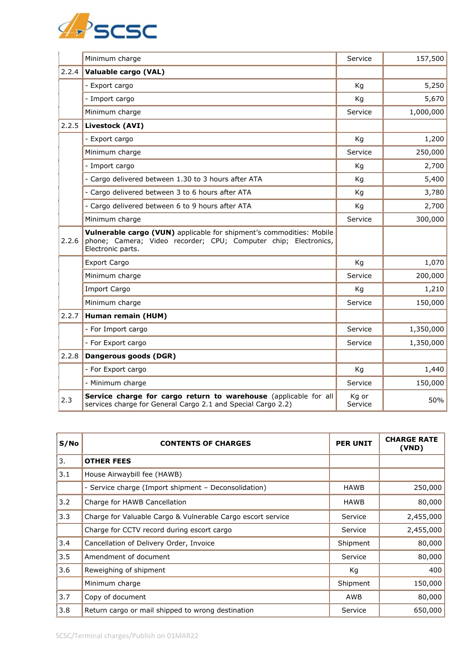

|       | Minimum charge                                                                                                                                               | Service          | 157,500   |
|-------|--------------------------------------------------------------------------------------------------------------------------------------------------------------|------------------|-----------|
| 2.2.4 | Valuable cargo (VAL)                                                                                                                                         |                  |           |
|       | - Export cargo                                                                                                                                               | Kg               | 5,250     |
|       | - Import cargo                                                                                                                                               | Kg               | 5,670     |
|       | Minimum charge                                                                                                                                               | Service          | 1,000,000 |
| 2.2.5 | Livestock (AVI)                                                                                                                                              |                  |           |
|       | - Export cargo                                                                                                                                               | Kg               | 1,200     |
|       | Minimum charge                                                                                                                                               | Service          | 250,000   |
|       | - Import cargo                                                                                                                                               | Kg               | 2,700     |
|       | - Cargo delivered between 1.30 to 3 hours after ATA                                                                                                          | Kg               | 5,400     |
|       | - Cargo delivered between 3 to 6 hours after ATA                                                                                                             | Kg               | 3,780     |
|       | - Cargo delivered between 6 to 9 hours after ATA                                                                                                             | Kg               | 2,700     |
|       | Minimum charge                                                                                                                                               | Service          | 300,000   |
| 2.2.6 | Vulnerable cargo (VUN) applicable for shipment's commodities: Mobile<br>phone; Camera; Video recorder; CPU; Computer chip; Electronics,<br>Electronic parts. |                  |           |
|       | <b>Export Cargo</b>                                                                                                                                          | Kg               | 1,070     |
|       | Minimum charge                                                                                                                                               | Service          | 200,000   |
|       | <b>Import Cargo</b>                                                                                                                                          | Kg               | 1,210     |
|       | Minimum charge                                                                                                                                               | Service          | 150,000   |
| 2.2.7 | Human remain (HUM)                                                                                                                                           |                  |           |
|       | - For Import cargo                                                                                                                                           | Service          | 1,350,000 |
|       | - For Export cargo                                                                                                                                           | Service          | 1,350,000 |
| 2.2.8 | Dangerous goods (DGR)                                                                                                                                        |                  |           |
|       | - For Export cargo                                                                                                                                           | Kg               | 1,440     |
|       | - Minimum charge                                                                                                                                             | Service          | 150,000   |
| 2.3   | Service charge for cargo return to warehouse (applicable for all<br>services charge for General Cargo 2.1 and Special Cargo 2.2)                             | Kg or<br>Service | 50%       |

| S/No | <b>CONTENTS OF CHARGES</b>                                  | <b>PER UNIT</b> | <b>CHARGE RATE</b><br>(VND) |
|------|-------------------------------------------------------------|-----------------|-----------------------------|
| 3.   | <b>OTHER FEES</b>                                           |                 |                             |
| 3.1  | House Airwaybill fee (HAWB)                                 |                 |                             |
|      | - Service charge (Import shipment - Deconsolidation)        | HAWB            | 250,000                     |
| 3.2  | Charge for HAWB Cancellation                                | <b>HAWB</b>     | 80,000                      |
| 3.3  | Charge for Valuable Cargo & Vulnerable Cargo escort service | Service         | 2,455,000                   |
|      | Charge for CCTV record during escort cargo                  | Service         | 2,455,000                   |
| 3.4  | Cancellation of Delivery Order, Invoice                     | Shipment        | 80,000                      |
| 3.5  | Amendment of document                                       | Service         | 80,000                      |
| 3.6  | Reweighing of shipment                                      | Кg              | 400                         |
|      | Minimum charge                                              | Shipment        | 150,000                     |
| 3.7  | Copy of document                                            | AWB             | 80,000                      |
| 3.8  | Return cargo or mail shipped to wrong destination           | Service         | 650,000                     |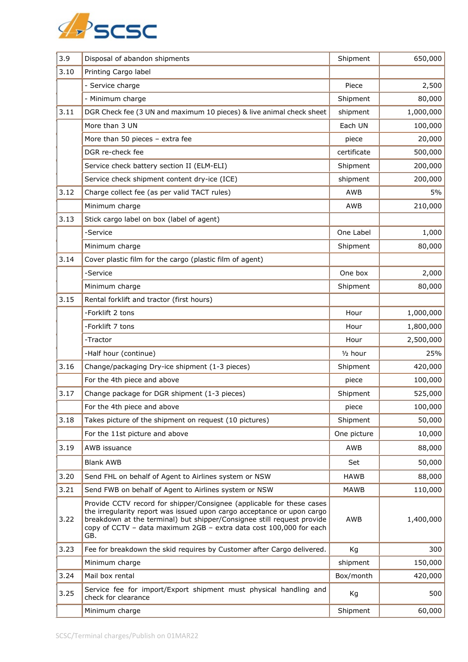

| 3.9  | Disposal of abandon shipments                                                                                                                                                                                                                                                                          | Shipment             | 650,000   |
|------|--------------------------------------------------------------------------------------------------------------------------------------------------------------------------------------------------------------------------------------------------------------------------------------------------------|----------------------|-----------|
| 3.10 | Printing Cargo label                                                                                                                                                                                                                                                                                   |                      |           |
|      | - Service charge                                                                                                                                                                                                                                                                                       | Piece                | 2,500     |
|      | - Minimum charge                                                                                                                                                                                                                                                                                       | Shipment             | 80,000    |
| 3.11 | DGR Check fee (3 UN and maximum 10 pieces) & live animal check sheet                                                                                                                                                                                                                                   | shipment             | 1,000,000 |
|      | More than 3 UN                                                                                                                                                                                                                                                                                         | Each UN              | 100,000   |
|      | More than 50 pieces - extra fee                                                                                                                                                                                                                                                                        | piece                | 20,000    |
|      | DGR re-check fee                                                                                                                                                                                                                                                                                       | certificate          | 500,000   |
|      | Service check battery section II (ELM-ELI)                                                                                                                                                                                                                                                             | Shipment             | 200,000   |
|      | Service check shipment content dry-ice (ICE)                                                                                                                                                                                                                                                           | shipment             | 200,000   |
| 3.12 | Charge collect fee (as per valid TACT rules)                                                                                                                                                                                                                                                           | AWB                  | 5%        |
|      | Minimum charge                                                                                                                                                                                                                                                                                         | AWB                  | 210,000   |
| 3.13 | Stick cargo label on box (label of agent)                                                                                                                                                                                                                                                              |                      |           |
|      | -Service                                                                                                                                                                                                                                                                                               | One Label            | 1,000     |
|      | Minimum charge                                                                                                                                                                                                                                                                                         | Shipment             | 80,000    |
| 3.14 | Cover plastic film for the cargo (plastic film of agent)                                                                                                                                                                                                                                               |                      |           |
|      | -Service                                                                                                                                                                                                                                                                                               | One box              | 2,000     |
|      | Minimum charge                                                                                                                                                                                                                                                                                         | Shipment             | 80,000    |
| 3.15 | Rental forklift and tractor (first hours)                                                                                                                                                                                                                                                              |                      |           |
|      | -Forklift 2 tons                                                                                                                                                                                                                                                                                       | Hour                 | 1,000,000 |
|      | -Forklift 7 tons                                                                                                                                                                                                                                                                                       | Hour                 | 1,800,000 |
|      | -Tractor                                                                                                                                                                                                                                                                                               | Hour                 | 2,500,000 |
|      | -Half hour (continue)                                                                                                                                                                                                                                                                                  | 1/ <sub>2</sub> hour | 25%       |
| 3.16 | Change/packaging Dry-ice shipment (1-3 pieces)                                                                                                                                                                                                                                                         | Shipment             | 420,000   |
|      | For the 4th piece and above                                                                                                                                                                                                                                                                            | piece                | 100,000   |
| 3.17 | Change package for DGR shipment (1-3 pieces)                                                                                                                                                                                                                                                           | Shipment             | 525,000   |
|      | For the 4th piece and above                                                                                                                                                                                                                                                                            | piece                | 100,000   |
| 3.18 | Takes picture of the shipment on request (10 pictures)                                                                                                                                                                                                                                                 | Shipment             | 50,000    |
|      | For the 11st picture and above                                                                                                                                                                                                                                                                         | One picture          | 10,000    |
| 3.19 | AWB issuance                                                                                                                                                                                                                                                                                           | AWB                  | 88,000    |
|      | <b>Blank AWB</b>                                                                                                                                                                                                                                                                                       | Set                  | 50,000    |
| 3.20 | Send FHL on behalf of Agent to Airlines system or NSW                                                                                                                                                                                                                                                  | <b>HAWB</b>          | 88,000    |
| 3.21 | Send FWB on behalf of Agent to Airlines system or NSW                                                                                                                                                                                                                                                  | <b>MAWB</b>          | 110,000   |
| 3.22 | Provide CCTV record for shipper/Consignee (applicable for these cases<br>the irregularity report was issued upon cargo acceptance or upon cargo<br>breakdown at the terminal) but shipper/Consignee still request provide<br>copy of CCTV - data maximum 2GB - extra data cost 100,000 for each<br>GB. | AWB                  | 1,400,000 |
| 3.23 | Fee for breakdown the skid requires by Customer after Cargo delivered.                                                                                                                                                                                                                                 | Kg                   | 300       |
|      | Minimum charge                                                                                                                                                                                                                                                                                         | shipment             | 150,000   |
| 3.24 | Mail box rental                                                                                                                                                                                                                                                                                        | Box/month            | 420,000   |
| 3.25 | Service fee for import/Export shipment must physical handling and<br>check for clearance                                                                                                                                                                                                               | Kg                   | 500       |
|      | Minimum charge                                                                                                                                                                                                                                                                                         | Shipment             | 60,000    |